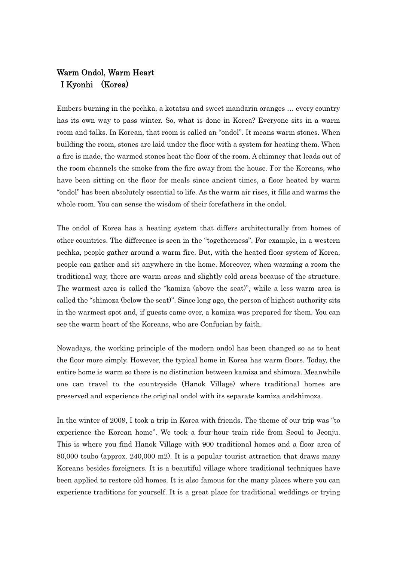## Warm Ondol, Warm Heart I Kyonhi (Korea)

Embers burning in the pechka, a kotatsu and sweet mandarin oranges … every country has its own way to pass winter. So, what is done in Korea? Everyone sits in a warm room and talks. In Korean, that room is called an "ondol". It means warm stones. When building the room, stones are laid under the floor with a system for heating them. When a fire is made, the warmed stones heat the floor of the room. A chimney that leads out of the room channels the smoke from the fire away from the house. For the Koreans, who have been sitting on the floor for meals since ancient times, a floor heated by warm "ondol" has been absolutely essential to life. As the warm air rises, it fills and warms the whole room. You can sense the wisdom of their forefathers in the ondol.

The ondol of Korea has a heating system that differs architecturally from homes of other countries. The difference is seen in the "togetherness". For example, in a western pechka, people gather around a warm fire. But, with the heated floor system of Korea, people can gather and sit anywhere in the home. Moreover, when warming a room the traditional way, there are warm areas and slightly cold areas because of the structure. The warmest area is called the "kamiza (above the seat)", while a less warm area is called the "shimoza (below the seat)". Since long ago, the person of highest authority sits in the warmest spot and, if guests came over, a kamiza was prepared for them. You can see the warm heart of the Koreans, who are Confucian by faith.

Nowadays, the working principle of the modern ondol has been changed so as to heat the floor more simply. However, the typical home in Korea has warm floors. Today, the entire home is warm so there is no distinction between kamiza and shimoza. Meanwhile one can travel to the countryside (Hanok Village) where traditional homes are preserved and experience the original ondol with its separate kamiza andshimoza.

In the winter of 2009, I took a trip in Korea with friends. The theme of our trip was "to experience the Korean home". We took a four-hour train ride from Seoul to Jeonju. This is where you find Hanok Village with 900 traditional homes and a floor area of 80,000 tsubo (approx. 240,000 m2). It is a popular tourist attraction that draws many Koreans besides foreigners. It is a beautiful village where traditional techniques have been applied to restore old homes. It is also famous for the many places where you can experience traditions for yourself. It is a great place for traditional weddings or trying